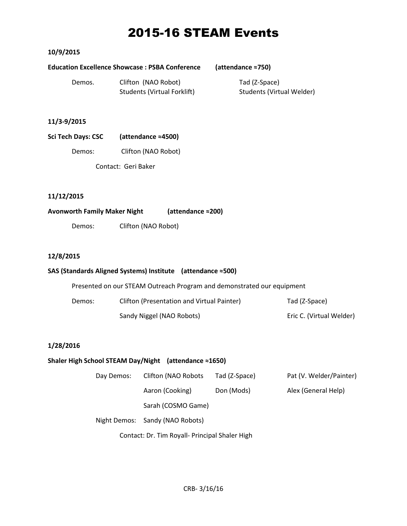## 2015-16 STEAM Events

## **10/9/2015**

#### **Education Excellence Showcase : PSBA Conference (attendance ≈750)**

Tad (Z-Space)

Students (Virtual Welder)

| Demos. | Clifton (NAO Robot)                |  |
|--------|------------------------------------|--|
|        | <b>Students (Virtual Forklift)</b> |  |

## **11/3-9/2015**

| <b>Sci Tech Days: CSC</b> | (attendance $\approx$ 4500) |
|---------------------------|-----------------------------|
|                           |                             |

Demos: Clifton (NAO Robot)

Contact: Geri Baker

## **11/12/2015**

## **Avonworth Family Maker Night (attendance ≈200)**

Demos: Clifton (NAO Robot)

## **12/8/2015**

## **SAS (Standards Aligned Systems) Institute (attendance ≈500)**

Presented on our STEAM Outreach Program and demonstrated our equipment

| Demos: | Clifton (Presentation and Virtual Painter) | Tad (Z-Space)            |
|--------|--------------------------------------------|--------------------------|
|        | Sandy Niggel (NAO Robots)                  | Eric C. (Virtual Welder) |

## **1/28/2016**

## **Shaler High School STEAM Day/Night (attendance ≈1650)**

| Day Demos: | Clifton (NAO Robots             | Tad (Z-Space) | Pat (V. Welder/Painter) |
|------------|---------------------------------|---------------|-------------------------|
|            | Aaron (Cooking)                 | Don (Mods)    | Alex (General Help)     |
|            | Sarah (COSMO Game)              |               |                         |
|            | Night Demos: Sandy (NAO Robots) |               |                         |

Contact: Dr. Tim Royall- Principal Shaler High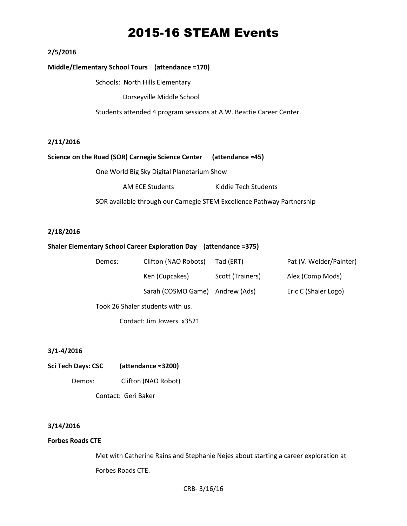## 2015-16 STEAM Events

## **2/5/2016**

#### **Middle/Elementary School Tours (attendance ≈170)**

Schools: North Hills Elementary

Dorseyville Middle School

Students attended 4 program sessions at A.W. Beattie Career Center

#### **2/11/2016**

#### **Science on the Road (SOR) Carnegie Science Center (attendance ≈45)**

One World Big Sky Digital Planetarium Show

AM ECE Students Kiddie Tech Students

SOR available through our Carnegie STEM Excellence Pathway Partnership

#### **2/18/2016**

#### **Shaler Elementary School Career Exploration Day (attendance ≈375)**

| Demos:                           | Clifton (NAO Robots) | Tad (ERT)        | Pat (V. Welder/Painter) |  |  |  |
|----------------------------------|----------------------|------------------|-------------------------|--|--|--|
|                                  | Ken (Cupcakes)       | Scott (Trainers) | Alex (Comp Mods)        |  |  |  |
|                                  | Sarah (COSMO Game)   | Andrew (Ads)     | Eric C (Shaler Logo)    |  |  |  |
| Took 26 Shaler students with us. |                      |                  |                         |  |  |  |

Contact: Jim Jowers x3521

#### **3/1-4/2016**

**Sci Tech Days: CSC (attendance ≈3200)** Demos: Clifton (NAO Robot) Contact: Geri Baker

#### **3/14/2016**

#### **Forbes Roads CTE**

Met with Catherine Rains and Stephanie Nejes about starting a career exploration at Forbes Roads CTE.